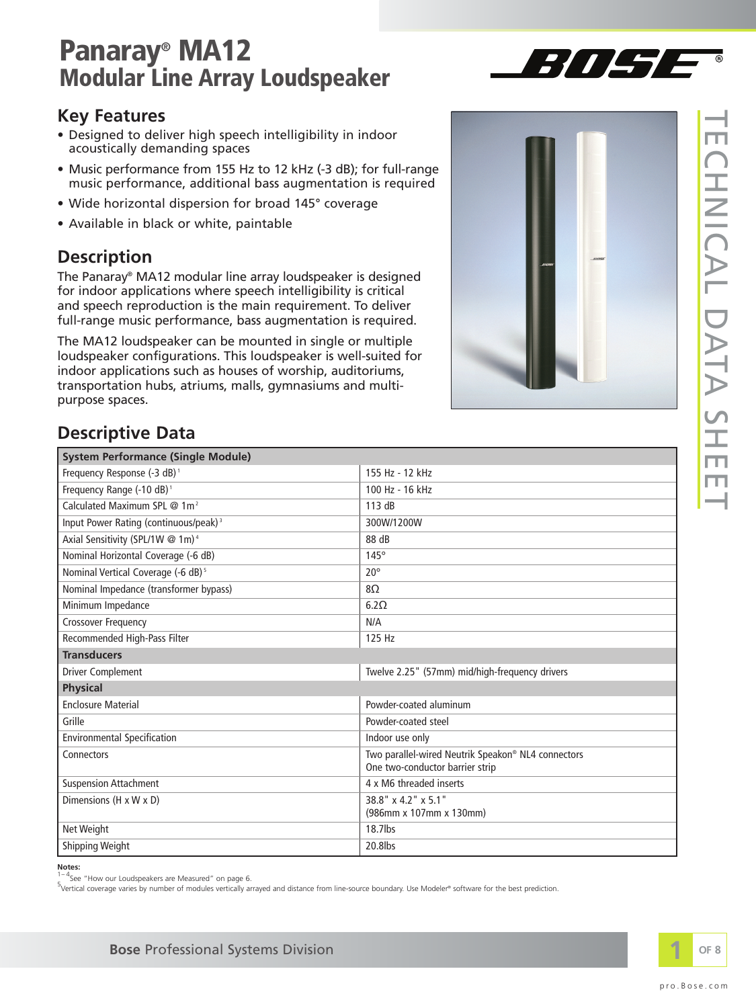### **Key Features**

- Designed to deliver high speech intelligibility in indoor acoustically demanding spaces
- Music performance from 155 Hz to 12 kHz (-3 dB); for full-range music performance, additional bass augmentation is required
- Wide horizontal dispersion for broad 145° coverage
- Available in black or white, paintable

### **Description**

The Panaray® MA12 modular line array loudspeaker is designed for indoor applications where speech intelligibility is critical and speech reproduction is the main requirement. To deliver full-range music performance, bass augmentation is required.

The MA12 loudspeaker can be mounted in single or multiple loudspeaker configurations. This loudspeaker is well-suited for indoor applications such as houses of worship, auditoriums, transportation hubs, atriums, malls, gymnasiums and multipurpose spaces.



 $7/117$ 

### **Descriptive Data**

| <b>System Performance (Single Module)</b>         |                                                                                       |  |
|---------------------------------------------------|---------------------------------------------------------------------------------------|--|
| Frequency Response (-3 dB) <sup>1</sup>           | 155 Hz - 12 kHz                                                                       |  |
| Frequency Range (-10 dB) <sup>1</sup>             | 100 Hz - 16 kHz                                                                       |  |
| Calculated Maximum SPL @ 1m <sup>2</sup>          | 113 dB                                                                                |  |
| Input Power Rating (continuous/peak) <sup>3</sup> | 300W/1200W                                                                            |  |
| Axial Sensitivity (SPL/1W @ 1m) <sup>4</sup>      | 88 dB                                                                                 |  |
| Nominal Horizontal Coverage (-6 dB)               | $145^\circ$                                                                           |  |
| Nominal Vertical Coverage (-6 dB) <sup>5</sup>    | $20^{\circ}$                                                                          |  |
| Nominal Impedance (transformer bypass)            | $8\Omega$                                                                             |  |
| Minimum Impedance                                 | 6.2 <omega< td=""></omega<>                                                           |  |
| Crossover Frequency                               | N/A                                                                                   |  |
| Recommended High-Pass Filter                      | 125 Hz                                                                                |  |
| <b>Transducers</b>                                |                                                                                       |  |
| <b>Driver Complement</b>                          | Twelve 2.25" (57mm) mid/high-frequency drivers                                        |  |
| <b>Physical</b>                                   |                                                                                       |  |
| <b>Enclosure Material</b>                         | Powder-coated aluminum                                                                |  |
| Grille                                            | Powder-coated steel                                                                   |  |
| <b>Environmental Specification</b>                | Indoor use only                                                                       |  |
| Connectors                                        | Two parallel-wired Neutrik Speakon® NL4 connectors<br>One two-conductor barrier strip |  |
| <b>Suspension Attachment</b>                      | 4 x M6 threaded inserts                                                               |  |
| Dimensions (H x W x D)                            | 38.8" x 4.2" x 5.1"<br>(986mm x 107mm x 130mm)                                        |  |
| Net Weight                                        | 18.7lbs                                                                               |  |
| <b>Shipping Weight</b>                            | 20.8lbs                                                                               |  |

**Notes:** 

 $1 - 4$ See "How our Loudspeakers are Measured" on page 6.

' <sup>- -</sup> See "How our Loudspeakers are Measured" on page 6.<br><sup>5</sup> Vertical coverage varies by number of modules vertically arrayed and distance from line-source boundary. Use Modeler® software for the best prediction.

 $\overline{\phantom{0}}$ 

 $\overline{\phantom{0}}$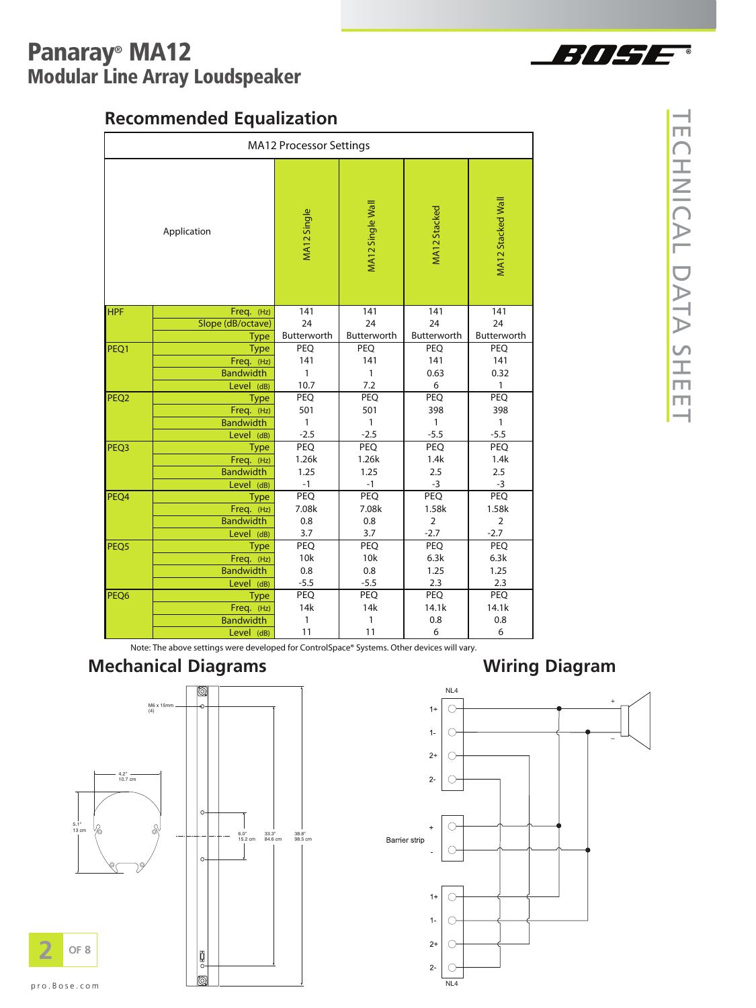

## **Recommended Equalization**

|                  | <b>Recommended Equalization</b> |                                |                  |              |                   |
|------------------|---------------------------------|--------------------------------|------------------|--------------|-------------------|
|                  |                                 | <b>MA12 Processor Settings</b> |                  |              |                   |
|                  | Application                     | MA12 Single                    | MA12 Single Wall | MA12 Stacked | MA12 Stacked Wall |
| <b>HPF</b>       | Freq. (Hz)                      | 141                            | 141              | 141          | 141               |
|                  | Slope (dB/octave)               | 24                             | 24               | 24           | 24                |
|                  | <b>Type</b>                     | Butterworth                    | Butterworth      | Butterworth  | Butterworth       |
| PEQ1             | <b>Type</b>                     | PEQ                            | <b>PEQ</b>       | <b>PEQ</b>   | PEQ               |
|                  | Freq. (Hz)<br><b>Bandwidth</b>  | 141<br>1                       | 141<br>1         | 141<br>0.63  | 141<br>0.32       |
|                  | Level (dB)                      | 10.7                           | 7.2              | 6            | 1                 |
| PEQ <sub>2</sub> | <b>Type</b>                     | PEQ                            | PEQ              | PEQ          | PEQ               |
|                  | Freq. (Hz)                      | 501                            | 501              | 398          | 398               |
|                  | <b>Bandwidth</b>                | 1                              | 1                | $\mathbf{1}$ | $\mathbf{1}$      |
|                  | Level (dB)                      | $-2.5$                         | $-2.5$           | $-5.5$       | $-5.5$            |
| PEQ3             | Type                            | PEQ                            | PEQ              | PEQ          | PEQ               |
|                  | Freq. (Hz)                      | 1.26k                          | 1.26k            | 1.4k         | 1.4k              |
|                  | <b>Bandwidth</b>                | 1.25                           | 1.25             | 2.5          | 2.5               |
| PEQ4             | Level (dB)                      | $-1$<br>PEO                    | $-1$<br>PEQ      | $-3$<br>PEQ  | -3<br>PEQ         |
|                  | <b>Type</b><br>Freq. (Hz)       | 7.08k                          | 7.08k            | 1.58k        | 1.58k             |
|                  | <b>Bandwidth</b>                | 0.8                            | 0.8              | 2            | 2                 |
|                  | Level (dB)                      | 3.7                            | 3.7              | $-2.7$       | $-2.7$            |
| PEQ <sub>5</sub> | <b>Type</b>                     | PEQ                            | PEQ              | PEQ          | PEQ               |
|                  | Freq. (Hz)                      | 10k                            | 10k              | 6.3k         | 6.3k              |
|                  | <b>Bandwidth</b>                | 0.8                            | 0.8              | 1.25         | 1.25              |
| PEQ6             | Level (dB)                      | $-5.5$<br>PEQ                  | -5.5<br>PEQ      | 2.3<br>PEQ   | 2.3<br>PEQ        |
|                  | Type<br>Freq. (Hz)              | 14k                            | 14k              | 14.1k        | 14.1k             |
|                  |                                 |                                | 1                | 0.8          | 0.8               |
|                  | <b>Bandwidth</b>                | 1                              |                  |              |                   |

### $\overline{\phantom{0}}$ E  $\bigcap$  $\top$  $\frac{2}{\cap}$  $\blacktriangleright$  $\overline{\phantom{0}}$ D  $\blacktriangleright$  $\overline{\phantom{0}}$  $\blacktriangleright$  $\mathsf{S}$  $\top$ E E  $\overline{\phantom{0}}$

### **Mechanical Diagrams Wiring Diagram**





pro.Bose.com

**2**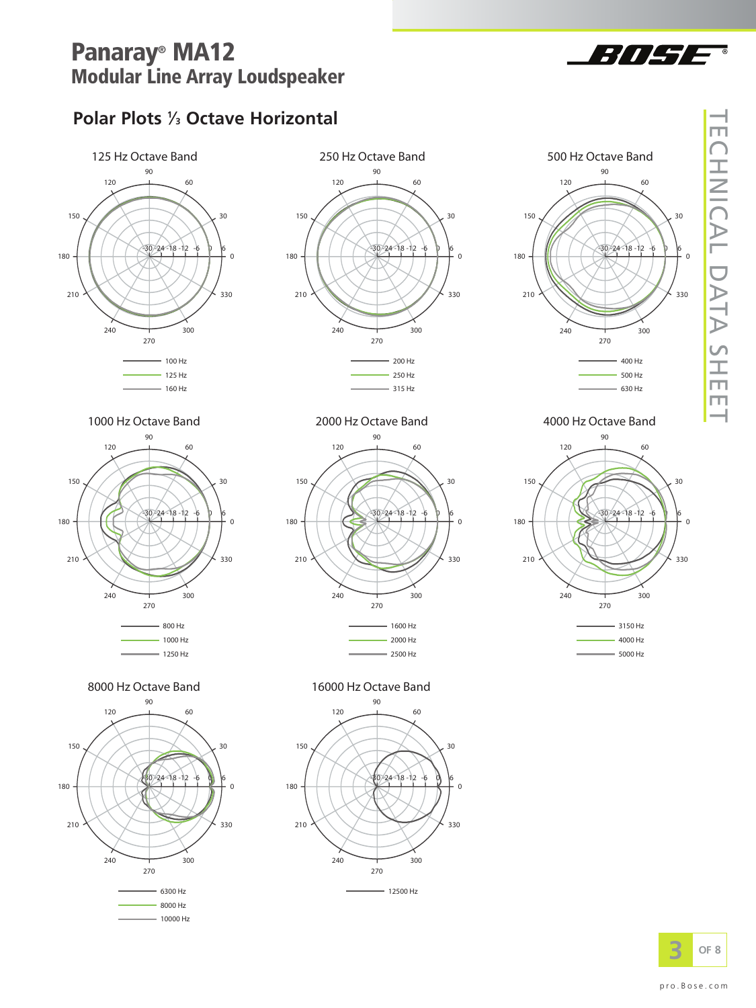

## **Polar Plots 1 ⁄3 Octave Horizontal**









 $-1250$  Hz





8000 Hz Octave Band<br>
16000 Hz Octave Band





 $-5000$  Hz



 $\overline{\phantom{0}}$  $\Box$  $\bigcap$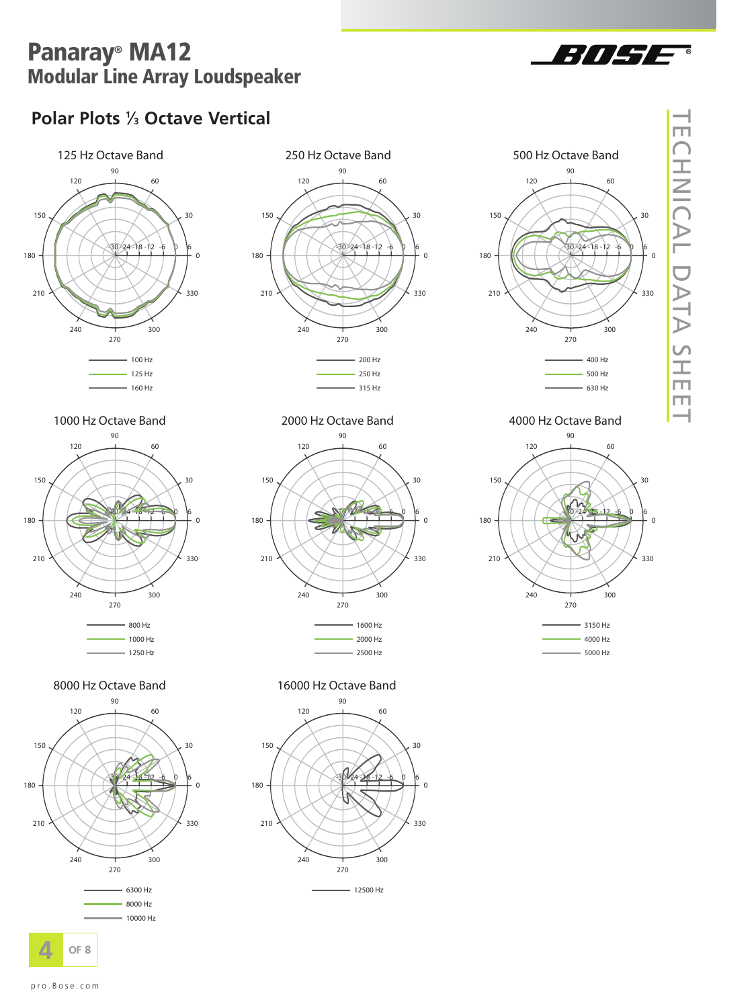

## **Polar Plots 1 ⁄3 Octave Vertical**





90

 $120$ 

240

150

180

210

60

300

 $30$ 

 $\Omega$ 

330





1000 Hz Octave Band **CONFEDGE 1000 Hz Octave Band CONFEDGE 1000 A** Octave Band







8000 Hz Octave Band<br>
16000 Hz Octave Band

270



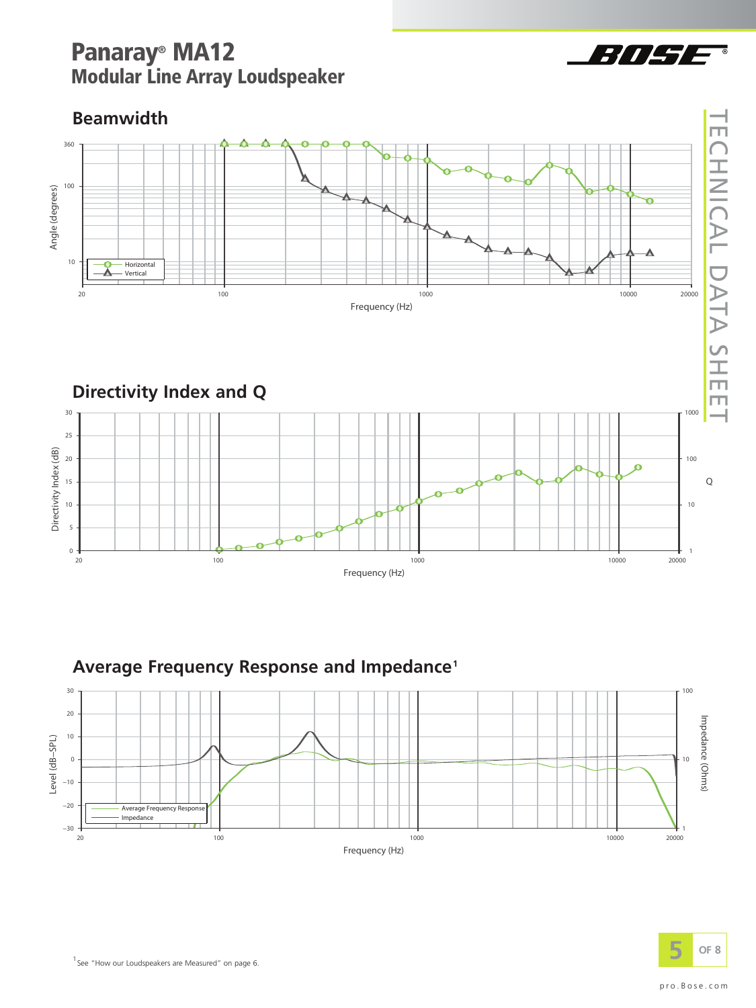### <sup>1</sup> See "How our Loudspeakers are Measured" on page 6.



10000

20000

# **Beamwidth**

360

 $\mathsf{O}\xspace$  $20$ 



1000

# Average Frequency Response and Impedance<sup>1</sup>

100



Frequency (Hz)



 $\overline{\phantom{0}}$ E

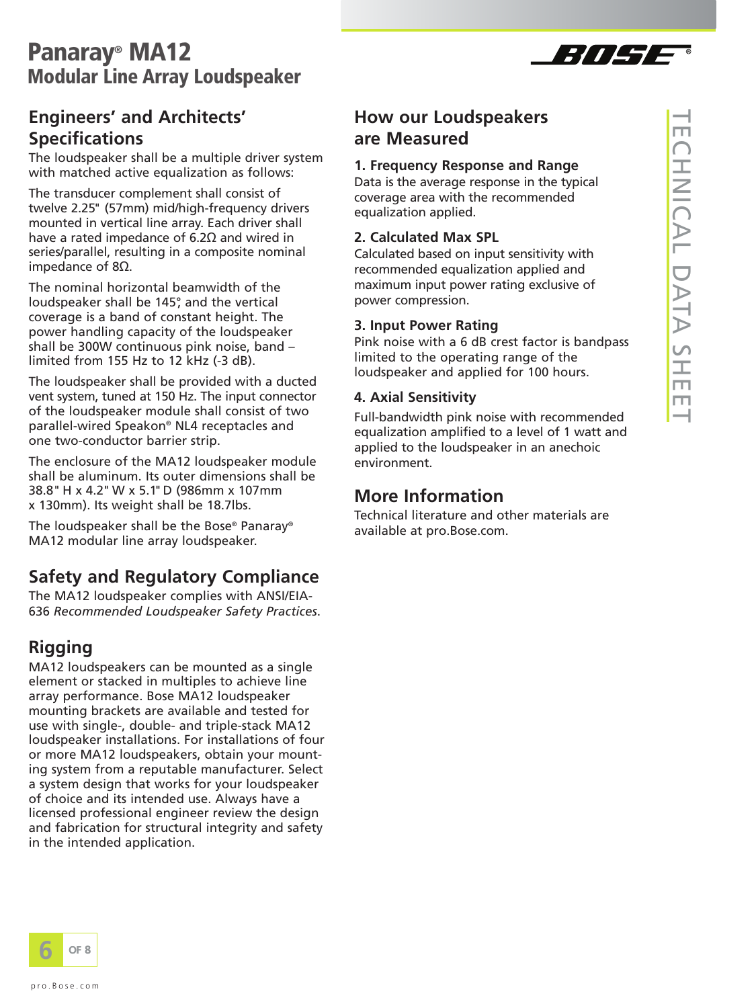

### **Engineers' and Architects' Specifications**

The loudspeaker shall be a multiple driver system with matched active equalization as follows:

The transducer complement shall consist of twelve 2.25" (57mm) mid/high-frequency drivers mounted in vertical line array. Each driver shall have a rated impedance of 6.2 $\Omega$  and wired in series/parallel, resulting in a composite nominal impedance of  $8\Omega$ .

The nominal horizontal beamwidth of the loudspeaker shall be 145°, and the vertical coverage is a band of constant height. The power handling capacity of the loudspeaker shall be 300W continuous pink noise, band – limited from 155 Hz to 12 kHz (-3 dB).

The loudspeaker shall be provided with a ducted vent system, tuned at 150 Hz. The input connector of the loudspeaker module shall consist of two parallel-wired Speakon® NL4 receptacles and one two-conductor barrier strip.

The enclosure of the MA12 loudspeaker module shall be aluminum. Its outer dimensions shall be 38.8" H x 4.2" W x 5.1"D (986mm x 107mm x 130mm). Its weight shall be 18.7lbs.

The loudspeaker shall be the Bose® Panaray® MA12 modular line array loudspeaker.

### **Safety and Regulatory Compliance**

The MA12 loudspeaker complies with ANSI/EIA-636 *Recommended Loudspeaker Safety Practices*.

### **Rigging**

MA12 loudspeakers can be mounted as a single element or stacked in multiples to achieve line array performance. Bose MA12 loudspeaker mounting brackets are available and tested for use with single-, double- and triple-stack MA12 loudspeaker installations. For installations of four or more MA12 loudspeakers, obtain your mounting system from a reputable manufacturer. Select a system design that works for your loudspeaker of choice and its intended use. Always have a licensed professional engineer review the design and fabrication for structural integrity and safety in the intended application.



### **1. Frequency Response and Range**

Data is the average response in the typical coverage area with the recommended equalization applied.

### **2. Calculated Max SPL**

Calculated based on input sensitivity with recommended equalization applied and maximum input power rating exclusive of power compression.

### **3. Input Power Rating**

Pink noise with a 6 dB crest factor is bandpass limited to the operating range of the loudspeaker and applied for 100 hours.

### **4. Axial Sensitivity**

Full-bandwidth pink noise with recommended equalization amplified to a level of 1 watt and applied to the loudspeaker in an anechoic environment.

### **More Information**

Technical literature and other materials are available at pro.Bose.com.

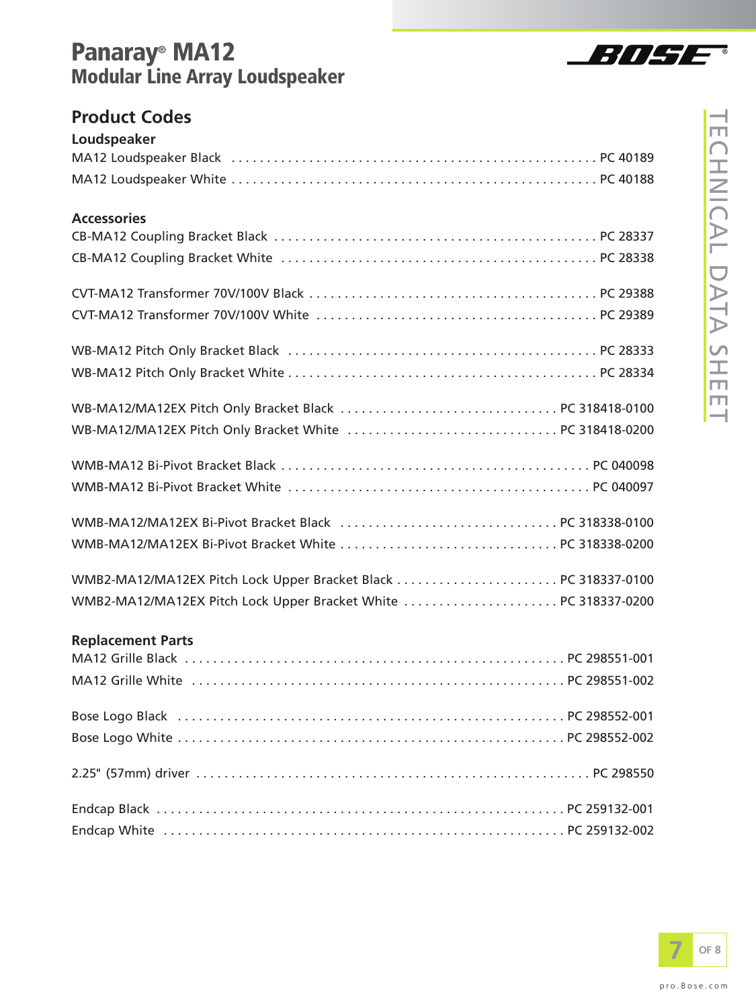

### **Product Codes**

| Loudspeaker                                                     |  |
|-----------------------------------------------------------------|--|
|                                                                 |  |
|                                                                 |  |
| <b>Accessories</b>                                              |  |
|                                                                 |  |
|                                                                 |  |
|                                                                 |  |
|                                                                 |  |
|                                                                 |  |
|                                                                 |  |
|                                                                 |  |
|                                                                 |  |
|                                                                 |  |
|                                                                 |  |
|                                                                 |  |
|                                                                 |  |
|                                                                 |  |
|                                                                 |  |
|                                                                 |  |
| WMB2-MA12/MA12EX Pitch Lock Upper Bracket White  PC 318337-0200 |  |
|                                                                 |  |
| <b>Replacement Parts</b>                                        |  |
|                                                                 |  |
|                                                                 |  |
|                                                                 |  |
|                                                                 |  |
|                                                                 |  |
|                                                                 |  |
|                                                                 |  |
|                                                                 |  |

Endcap White . . . . . . . . . . . . . . . . . . . . . . . . . . . . . . . . . . . . . . . . . . . . . . . . . . . . . . . . . PC 259132-002